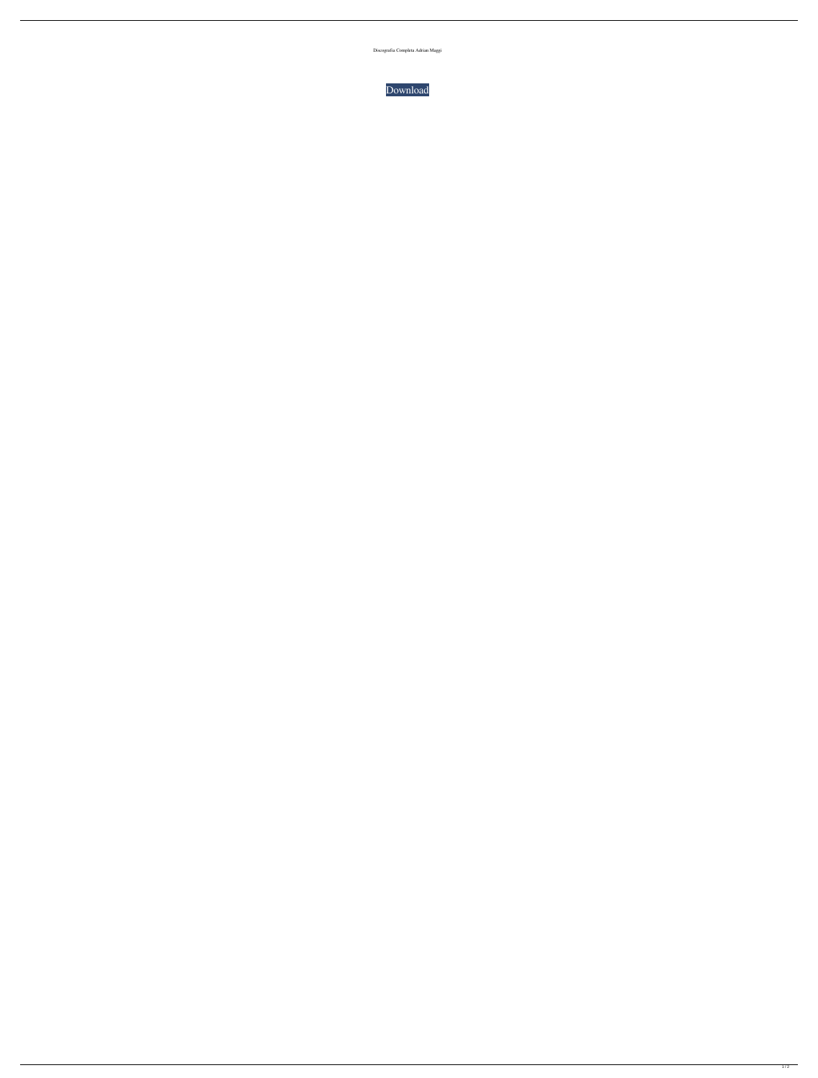Discografia Completa Adrian Maggi